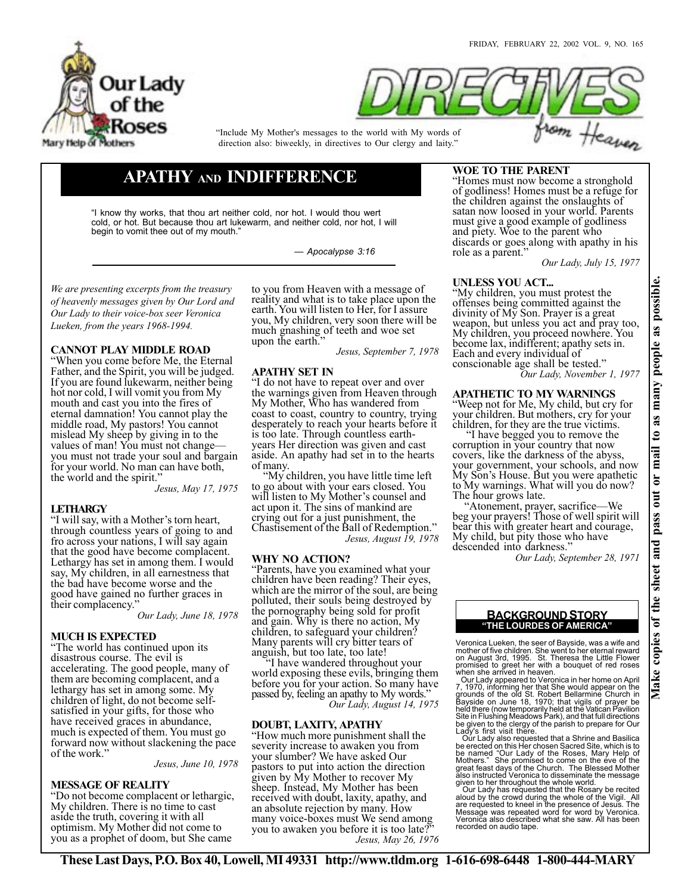



"Include My Mother's messages to the world with My words of direction also: biweekly, in directives to Our clergy and laity."

# **APATHY AND INDIFFERENCE**

"I know thy works, that thou art neither cold, nor hot. I would thou wert cold, or hot. But because thou art lukewarm, and neither cold, nor hot, I will begin to vomit thee out of my mouth."

*— Apocalypse 3:16*

*We are presenting excerpts from the treasury of heavenly messages given by Our Lord and Our Lady to their voice-box seer Veronica Lueken, from the years 1968-1994.*

# **CANNOT PLAY MIDDLE ROAD**

"When you come before Me, the Eternal Father, and the Spirit, you will be judged. If you are found lukewarm, neither being hot nor cold, I will vomit you from My mouth and cast you into the fires of eternal damnation! You cannot play the middle road, My pastors! You cannot mislead My sheep by giving in to the values of man! You must not change you must not trade your soul and bargain for your world. No man can have both, the world and the spirit.'

*Jesus, May 17, 1975*

# **LETHARGY**

"I will say, with a Mother's torn heart, through countless years of going to and fro across your nations, I will say again that the good have become complacent. Lethargy has set in among them. I would say, My children, in all earnestness that the bad have become worse and the good have gained no further graces in their complacency."

*Our Lady, June 18, 1978*

## **MUCH IS EXPECTED**

"The world has continued upon its disastrous course. The evil is accelerating. The good people, many of them are becoming complacent, and a lethargy has set in among some. My children of light, do not become selfsatisfied in your gifts, for those who have received graces in abundance, much is expected of them. You must go forward now without slackening the pace of the work."

*Jesus, June 10, 1978*

## **MESSAGE OF REALITY**

"Do not become complacent or lethargic, My children. There is no time to cast aside the truth, covering it with all optimism. My Mother did not come to you as a prophet of doom, but She came

to you from Heaven with a message of reality and what is to take place upon the earth. You will listen to Her, for I assure you, My children, very soon there will be much gnashing of teeth and woe set upon the earth."

*Jesus, September 7, 1978*

## **APATHY SET IN**

"I do not have to repeat over and over the warnings given from Heaven through My Mother, Who has wandered from coast to coast, country to country, trying desperately to reach your hearts before it is too late. Through countless earthyears Her direction was given and cast aside. An apathy had set in to the hearts of many.

 "My children, you have little time left to go about with your ears closed. You will listen to My Mother's counsel and act upon it. The sins of mankind are crying out for a just punishment, the Chastisement of the Ball of Redemption." *Jesus, August 19, 1978*

## **WHY NO ACTION?**

"Parents, have you examined what your children have been reading? Their eyes, which are the mirror of the soul, are being polluted, their souls being destroyed by the pornography being sold for profit and gain. Why is there no action, My children, to safeguard your children? Many parents will cry bitter tears of anguish, but too late, too late!

 "I have wandered throughout your world exposing these evils, bringing them before you for your action. So many have passed by, feeling an apathy to My words." *Our Lady, August 14, 1975*

## **DOUBT, LAXITY, APATHY**

"How much more punishment shall the severity increase to awaken you from your slumber? We have asked Our pastors to put into action the direction given by My Mother to recover My sheep. Instead, My Mother has been received with doubt, laxity, apathy, and an absolute rejection by many. How many voice-boxes must We send among you to awaken you before it is too late?" *Jesus, May 26, 1976*

# **WOE TO THE PARENT**

"Homes must now become a stronghold of godliness! Homes must be a refuge for the children against the onslaughts of satan now loosed in your world. Parents must give a good example of godliness and piety. Woe to the parent who discards or goes along with apathy in his role as a parent.'

*Our Lady, July 15, 1977*

# **UNLESS YOU ACT...**

"My children, you must protest the offenses being committed against the divinity of My Son. Prayer is a great weapon, but unless you act and pray too, My children, you proceed nowhere. You become lax, indifferent; apathy sets in. Each and every individual of conscionable age shall be tested."

*Our Lady, November 1, 1977*

#### **APATHETIC TO MY WARNINGS** "Weep not for Me, My child, but cry for

your children. But mothers, cry for your children, for they are the true victims.

 "I have begged you to remove the corruption in your country that now covers, like the darkness of the abyss, your government, your schools, and now My Son's House. But you were apathetic to My warnings. What will you do now? The hour grows late.

 "Atonement, prayer, sacrifice—We beg your prayers! Those of well spirit will bear this with greater heart and courage, My child, but pity those who have descended into darkness."

*Our Lady, September 28, 1971*

## **"THE LOURDES OF AMERICA" BACKGROUND STORY**

Veronica Lueken, the seer of Bayside, was a wife and mother of five children. She went to her eternal reward<br>on August 3rd, 1995. St. Theresa the Little Flower<br>promised to greet her with a bouquet of red roses<br>when she arrived in heaven.<br>Our Lady appeared to Veronica in her

7, 1970, informing her that She would appear on the<br>grounds of the old St. Robert Bellarmine Church in<br>Bayside on June 18, 1970; that vigils of prayer be<br>held there (now temporarily held at the Vatican Pavilion<br>Site in Flu Lady's first visit there.

Our Lady also requested that a Shrine and Basilica<br>be erected on this Her chosen Sacred Site, which is to<br>be named "Our Lady of the Roses, Mary Help of<br>Mothers." She promised to come on the eve of the<br>great feast days of t

given to her throughout the whole world.<br>Our Lady has requested that the Rosary be recited<br>aloud by the crowd during the whole of the Vigil. All<br>are requested to kneel in the presence of Jesus. The<br>Message was repeated wor recorded on audio tape.